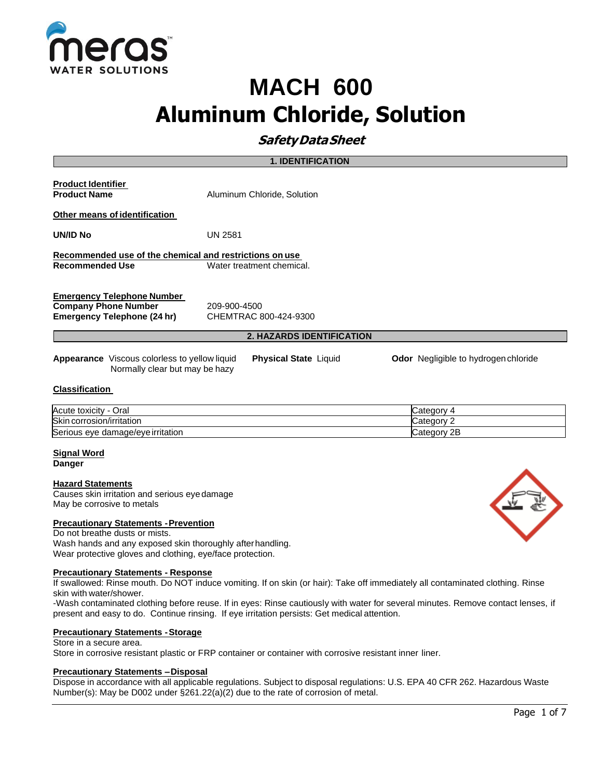

# **MACH 600 Aluminum Chloride, Solution**

# **SafetyDataSheet**

|                                                                                                                                                                       | <b>1. IDENTIFICATION</b>              |  |
|-----------------------------------------------------------------------------------------------------------------------------------------------------------------------|---------------------------------------|--|
| <b>Product Identifier</b><br><b>Product Name</b>                                                                                                                      | Aluminum Chloride, Solution           |  |
| Other means of identification<br>UN/ID No                                                                                                                             | UN 2581                               |  |
| Recommended use of the chemical and restrictions on use<br>Recommended Use                                                                                            | Water treatment chemical.             |  |
| <b>Emergency Telephone Number</b><br><b>Company Phone Number</b><br>Emergency Telephone (24 hr)                                                                       | 209-900-4500<br>CHEMTRAC 800-424-9300 |  |
| <b>2. HAZARDS IDENTIFICATION</b>                                                                                                                                      |                                       |  |
| <b>Appearance</b> Viscous colorless to yellow liquid<br><b>Physical State Liquid</b><br><b>Odor</b> Negligible to hydrogen chloride<br>Normally clear but may be hazy |                                       |  |

#### **Classification**

| Acute toxicity<br>Oral            | ∶ateɑor       |
|-----------------------------------|---------------|
| Skin corrosion/irritation         | Categor       |
| Serious eye damage/eye irritation | 2E<br>Categor |

**Signal Word Danger**

#### **Hazard Statements**

Causes skin irritation and serious eyedamage May be corrosive to metals

#### **Precautionary Statements -Prevention**

Do not breathe dusts or mists. Wash hands and any exposed skin thoroughly afterhandling. Wear protective gloves and clothing, eye/face protection.

#### **Precautionary Statements - Response**

If swallowed: Rinse mouth. Do NOT induce vomiting. If on skin (or hair): Take off immediately all contaminated clothing. Rinse skin with water/shower.

-Wash contaminated clothing before reuse. If in eyes: Rinse cautiously with water for several minutes. Remove contact lenses, if present and easy to do. Continue rinsing. If eye irritation persists: Get medical attention.

#### **Precautionary Statements -Storage**

#### Store in a secure area.

Store in corrosive resistant plastic or FRP container or container with corrosive resistant inner liner.

#### **Precautionary Statements –Disposal**

Dispose in accordance with all applicable regulations. Subject to disposal regulations: U.S. EPA 40 CFR 262. Hazardous Waste Number(s): May be D002 under §261.22(a)(2) due to the rate of corrosion of metal.

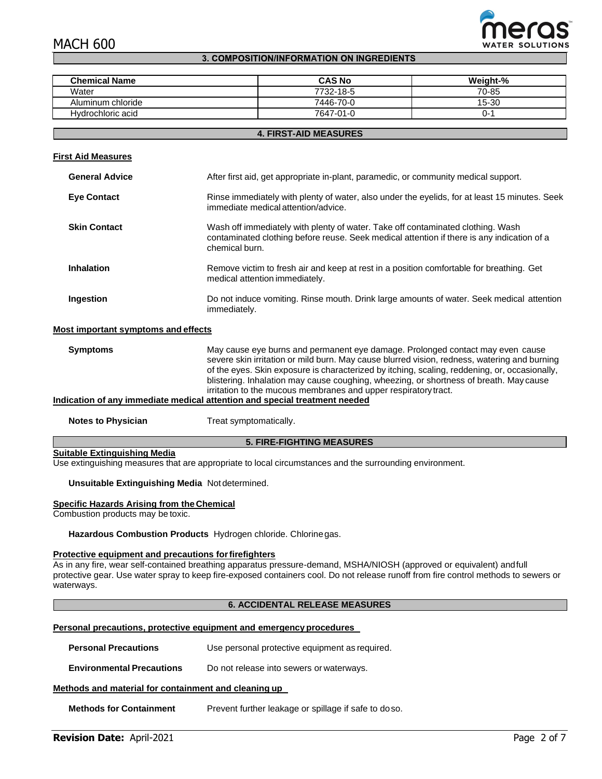# MACH 600



#### **3. COMPOSITION/INFORMATION ON INGREDIENTS**

| <b>Chemical Name</b> | <b>CAS No</b> | Weight-% |
|----------------------|---------------|----------|
| Water                | 7732-18-5     | 70-85    |
| Aluminum chloride    | 7446-70-0     | 15-30    |
| Hydrochloric acid    | 7647-01-0     | 0-.      |

#### **4. FIRST-AID MEASURES**

#### **First Aid Measures**

| <b>General Advice</b>               | After first aid, get appropriate in-plant, paramedic, or community medical support.                                                                                                             |
|-------------------------------------|-------------------------------------------------------------------------------------------------------------------------------------------------------------------------------------------------|
| <b>Eye Contact</b>                  | Rinse immediately with plenty of water, also under the eyelids, for at least 15 minutes. Seek<br>immediate medical attention/advice.                                                            |
| <b>Skin Contact</b>                 | Wash off immediately with plenty of water. Take off contaminated clothing. Wash<br>contaminated clothing before reuse. Seek medical attention if there is any indication of a<br>chemical burn. |
| <b>Inhalation</b>                   | Remove victim to fresh air and keep at rest in a position comfortable for breathing. Get<br>medical attention immediately.                                                                      |
| Ingestion                           | Do not induce vomiting. Rinse mouth. Drink large amounts of water. Seek medical attention<br>immediately.                                                                                       |
| Most important symptoms and effects |                                                                                                                                                                                                 |

#### **Symptoms** May cause eye burns and permanent eye damage. Prolonged contact may even cause severe skin irritation or mild burn. May cause blurred vision, redness, watering and burning of the eyes. Skin exposure is characterized by itching, scaling, reddening, or, occasionally, blistering. Inhalation may cause coughing, wheezing, or shortness of breath. May cause irritation to the mucous membranes and upper respiratorytract. **Indication of any immediate medical attention and special treatment needed**

**Notes to Physician** Treat symptomatically.

#### **5. FIRE-FIGHTING MEASURES**

### **Suitable Extinguishing Media**

Use extinguishing measures that are appropriate to local circumstances and the surrounding environment.

#### **Unsuitable Extinguishing Media** Not determined.

#### **Specific Hazards Arising from the Chemical**

Combustion products may be toxic.

**Hazardous Combustion Products** Hydrogen chloride. Chlorinegas.

#### **Protective equipment and precautions forfirefighters**

As in any fire, wear self-contained breathing apparatus pressure-demand, MSHA/NIOSH (approved or equivalent) andfull protective gear. Use water spray to keep fire-exposed containers cool. Do not release runoff from fire control methods to sewers or waterways.

#### **6. ACCIDENTAL RELEASE MEASURES**

#### **Personal precautions, protective equipment and emergency procedures**

| <b>Personal Precautions</b> | Use personal protective equipment as required. |
|-----------------------------|------------------------------------------------|
|                             |                                                |

**Environmental Precautions** Do not release into sewers or waterways.

#### **Methods and material for containment and cleaning up**

**Methods for Containment** Prevent further leakage or spillage if safe to doso.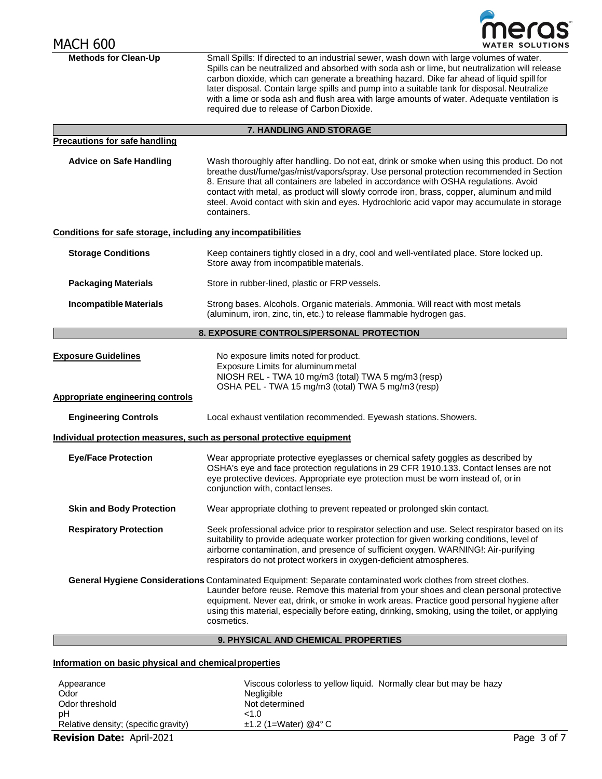| <b>MACH 600</b>                                              |                                                                                                                                                                                                                                                                                                                                                                                                                                                                                                                                    |
|--------------------------------------------------------------|------------------------------------------------------------------------------------------------------------------------------------------------------------------------------------------------------------------------------------------------------------------------------------------------------------------------------------------------------------------------------------------------------------------------------------------------------------------------------------------------------------------------------------|
| <b>Methods for Clean-Up</b>                                  | Small Spills: If directed to an industrial sewer, wash down with large volumes of water.<br>Spills can be neutralized and absorbed with soda ash or lime, but neutralization will release<br>carbon dioxide, which can generate a breathing hazard. Dike far ahead of liquid spill for<br>later disposal. Contain large spills and pump into a suitable tank for disposal. Neutralize<br>with a lime or soda ash and flush area with large amounts of water. Adequate ventilation is<br>required due to release of Carbon Dioxide. |
|                                                              | 7. HANDLING AND STORAGE                                                                                                                                                                                                                                                                                                                                                                                                                                                                                                            |
| <b>Precautions for safe handling</b>                         |                                                                                                                                                                                                                                                                                                                                                                                                                                                                                                                                    |
| <b>Advice on Safe Handling</b>                               | Wash thoroughly after handling. Do not eat, drink or smoke when using this product. Do not<br>breathe dust/fume/gas/mist/vapors/spray. Use personal protection recommended in Section<br>8. Ensure that all containers are labeled in accordance with OSHA regulations. Avoid<br>contact with metal, as product will slowly corrode iron, brass, copper, aluminum and mild<br>steel. Avoid contact with skin and eyes. Hydrochloric acid vapor may accumulate in storage<br>containers.                                            |
| Conditions for safe storage, including any incompatibilities |                                                                                                                                                                                                                                                                                                                                                                                                                                                                                                                                    |
| <b>Storage Conditions</b>                                    | Keep containers tightly closed in a dry, cool and well-ventilated place. Store locked up.<br>Store away from incompatible materials.                                                                                                                                                                                                                                                                                                                                                                                               |
| <b>Packaging Materials</b>                                   | Store in rubber-lined, plastic or FRP vessels.                                                                                                                                                                                                                                                                                                                                                                                                                                                                                     |
| <b>Incompatible Materials</b>                                | Strong bases. Alcohols. Organic materials. Ammonia. Will react with most metals<br>(aluminum, iron, zinc, tin, etc.) to release flammable hydrogen gas.                                                                                                                                                                                                                                                                                                                                                                            |
|                                                              | 8. EXPOSURE CONTROLS/PERSONAL PROTECTION                                                                                                                                                                                                                                                                                                                                                                                                                                                                                           |
| <b>Exposure Guidelines</b>                                   | No exposure limits noted for product.<br>Exposure Limits for aluminum metal<br>NIOSH REL - TWA 10 mg/m3 (total) TWA 5 mg/m3 (resp)<br>OSHA PEL - TWA 15 mg/m3 (total) TWA 5 mg/m3 (resp)                                                                                                                                                                                                                                                                                                                                           |
| <b>Appropriate engineering controls</b>                      |                                                                                                                                                                                                                                                                                                                                                                                                                                                                                                                                    |
| <b>Engineering Controls</b>                                  | Local exhaust ventilation recommended. Eyewash stations. Showers.                                                                                                                                                                                                                                                                                                                                                                                                                                                                  |
|                                                              | Individual protection measures, such as personal protective equipment                                                                                                                                                                                                                                                                                                                                                                                                                                                              |
| <b>Eye/Face Protection</b>                                   | Wear appropriate protective eyeglasses or chemical safety goggles as described by<br>OSHA's eye and face protection regulations in 29 CFR 1910.133. Contact lenses are not<br>eye protective devices. Appropriate eye protection must be worn instead of, or in<br>conjunction with, contact lenses.                                                                                                                                                                                                                               |
| <b>Skin and Body Protection</b>                              | Wear appropriate clothing to prevent repeated or prolonged skin contact.                                                                                                                                                                                                                                                                                                                                                                                                                                                           |
| <b>Respiratory Protection</b>                                | Seek professional advice prior to respirator selection and use. Select respirator based on its<br>suitability to provide adequate worker protection for given working conditions, level of<br>airborne contamination, and presence of sufficient oxygen. WARNING!: Air-purifying<br>respirators do not protect workers in oxygen-deficient atmospheres.                                                                                                                                                                            |
|                                                              | General Hygiene Considerations Contaminated Equipment: Separate contaminated work clothes from street clothes.<br>Launder before reuse. Remove this material from your shoes and clean personal protective<br>equipment. Never eat, drink, or smoke in work areas. Practice good personal hygiene after<br>using this material, especially before eating, drinking, smoking, using the toilet, or applying<br>cosmetics.                                                                                                           |
|                                                              | 9. PHYSICAL AND CHEMICAL PROPERTIES                                                                                                                                                                                                                                                                                                                                                                                                                                                                                                |

### **Information on basic physical and chemicalproperties**

| Appearance<br>Odor                   | Viscous colorless to yellow liquid. Normally clear but may be hazy<br>Negligible |             |
|--------------------------------------|----------------------------------------------------------------------------------|-------------|
| Odor threshold                       | Not determined                                                                   |             |
| рH                                   | < 1.0                                                                            |             |
| Relative density; (specific gravity) | $\pm$ 1.2 (1=Water) @4°C                                                         |             |
| <b>Revision Date: April-2021</b>     |                                                                                  | Page 3 of 7 |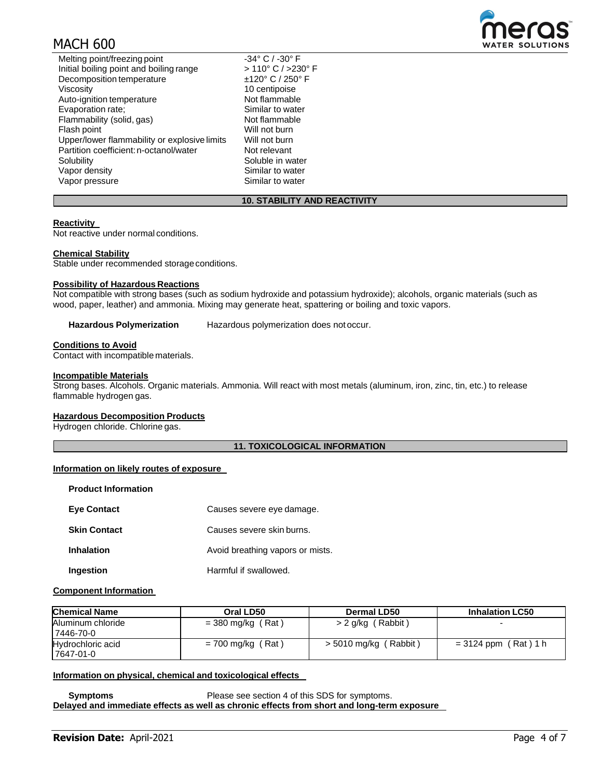# MACH 600



Similar to water

### **10. STABILITY AND REACTIVITY**

#### **Reactivity**

Not reactive under normal conditions.

#### **Chemical Stability**

Stable under recommended storage conditions.

#### **Possibility of Hazardous Reactions**

Not compatible with strong bases (such as sodium hydroxide and potassium hydroxide); alcohols, organic materials (such as wood, paper, leather) and ammonia. Mixing may generate heat, spattering or boiling and toxic vapors.

**Hazardous Polymerization** Hazardous polymerization does notoccur.

#### **Conditions to Avoid**

Contact with incompatible materials.

#### **Incompatible Materials**

Strong bases. Alcohols. Organic materials. Ammonia. Will react with most metals (aluminum, iron, zinc, tin, etc.) to release flammable hydrogen gas.

#### **Hazardous Decomposition Products**

Hydrogen chloride. Chlorine gas.

#### **11. TOXICOLOGICAL INFORMATION**

#### **Information on likely routes of exposure**

| <b>Product Information</b> |                                  |
|----------------------------|----------------------------------|
| <b>Eye Contact</b>         | Causes severe eye damage.        |
| <b>Skin Contact</b>        | Causes severe skin burns.        |
| <b>Inhalation</b>          | Avoid breathing vapors or mists. |
| Ingestion                  | Harmful if swallowed.            |

#### **Component Information**

| <b>Chemical Name</b>           | Oral LD50           | <b>Dermal LD50</b>      | <b>Inhalation LC50</b> |
|--------------------------------|---------------------|-------------------------|------------------------|
| Aluminum chloride<br>7446-70-0 | $=$ 380 mg/kg (Rat) | > 2 g/kg (Rabbit)       | -                      |
| Hydrochloric acid<br>7647-01-0 | $= 700$ mg/kg (Rat) | $>$ 5010 mg/kg (Rabbit) | $= 3124$ ppm (Rat) 1 h |

#### **Information on physical, chemical and toxicological effects**

**Symptoms** Please see section 4 of this SDS for symptoms. **Delayed and immediate effects as well as chronic effects from short and long-term exposure**

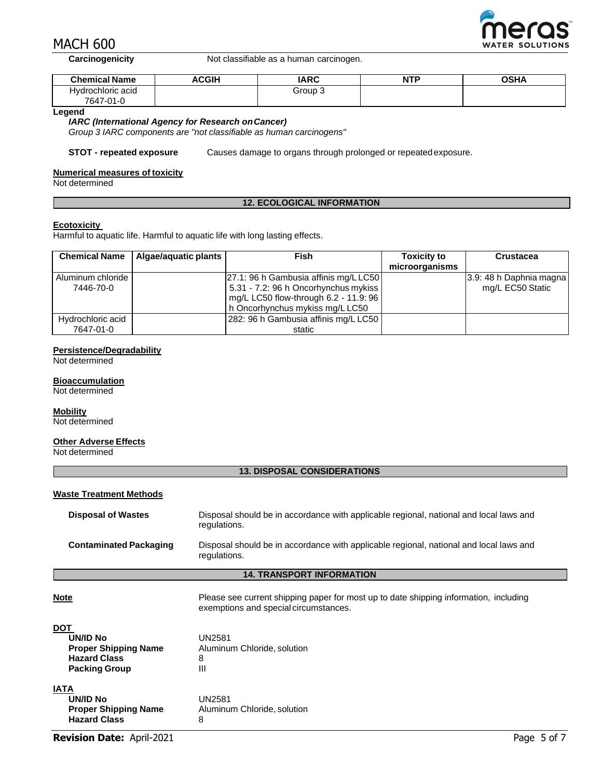

**WATER SOLUTIONS** 

**Carcinogenicity** Not classifiable as a human carcinogen.

| <b>Chemical Name</b> | <b>ACGIH</b> | <b>IARC</b> | <b>NTP</b> | <b>OSHA</b> |
|----------------------|--------------|-------------|------------|-------------|
| Hvdrochloric acid    |              | Group 3     |            |             |
| 7647-01-0            |              |             |            |             |

#### **Legend**

#### *IARC (International Agency for Research onCancer)*

*Group 3 IARC components are "not classifiable as human carcinogens"*

**STOT - repeated exposure** Causes damage to organs through prolonged or repeated exposure.

#### **Numerical measures of toxicity**

Not determined

#### **12. ECOLOGICAL INFORMATION**

#### **Ecotoxicity**

Harmful to aquatic life. Harmful to aquatic life with long lasting effects.

| <b>Chemical Name</b> | Algae/aquatic plants | Fish                                  | <b>Toxicity to</b> | <b>Crustacea</b>        |
|----------------------|----------------------|---------------------------------------|--------------------|-------------------------|
|                      |                      |                                       | microorganisms     |                         |
| Aluminum chloride    |                      | 27.1: 96 h Gambusia affinis mg/L LC50 |                    | 3.9: 48 h Daphnia magna |
| 7446-70-0            |                      | 5.31 - 7.2: 96 h Oncorhynchus mykiss  |                    | mg/L EC50 Static        |
|                      |                      | mg/L LC50 flow-through 6.2 - 11.9: 96 |                    |                         |
|                      |                      | h Oncorhynchus mykiss mg/LLC50        |                    |                         |
| Hydrochloric acid    |                      | 282: 96 h Gambusia affinis mg/L LC50  |                    |                         |
| 7647-01-0            |                      | static                                |                    |                         |

#### **Persistence/Degradability**

Not determined

#### **Bioaccumulation**

Not determined

#### **Mobility**

Not determined

#### **Other Adverse Effects**

Not determined

#### **13. DISPOSAL CONSIDERATIONS**

| <b>Waste Treatment Methods</b>                                                                       |                                                                                                                                |
|------------------------------------------------------------------------------------------------------|--------------------------------------------------------------------------------------------------------------------------------|
| <b>Disposal of Wastes</b>                                                                            | Disposal should be in accordance with applicable regional, national and local laws and<br>regulations.                         |
| <b>Contaminated Packaging</b>                                                                        | Disposal should be in accordance with applicable regional, national and local laws and<br>regulations.                         |
|                                                                                                      | <b>14. TRANSPORT INFORMATION</b>                                                                                               |
| <b>Note</b>                                                                                          | Please see current shipping paper for most up to date shipping information, including<br>exemptions and special circumstances. |
| <u>DOT</u><br>UN/ID No<br><b>Proper Shipping Name</b><br><b>Hazard Class</b><br><b>Packing Group</b> | <b>UN2581</b><br>Aluminum Chloride, solution<br>8<br>Ш                                                                         |
| <b>IATA</b><br>UN/ID No<br><b>Proper Shipping Name</b><br><b>Hazard Class</b>                        | <b>UN2581</b><br>Aluminum Chloride, solution<br>8                                                                              |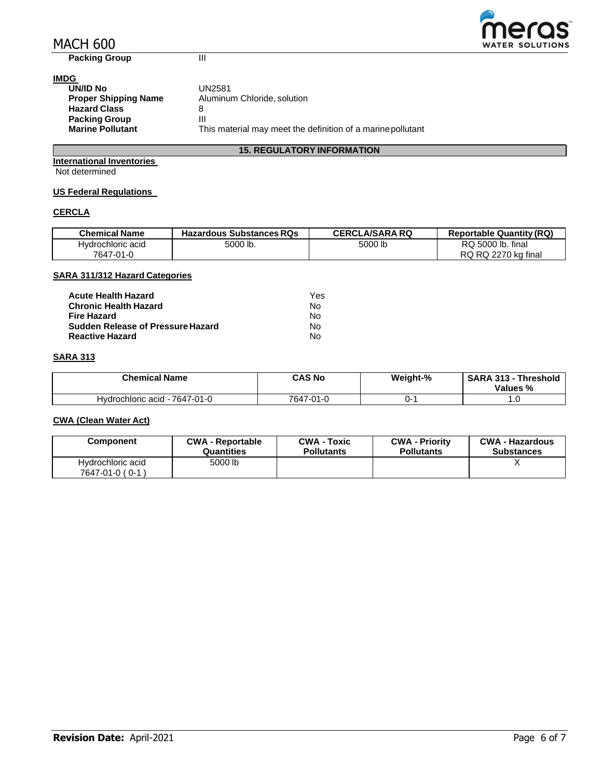# MACH 600



**Packing Group III** 

## **IMDG**

| --                          |                                                             |
|-----------------------------|-------------------------------------------------------------|
| UN/ID No                    | UN2581                                                      |
| <b>Proper Shipping Name</b> | Aluminum Chloride, solution                                 |
| <b>Hazard Class</b>         |                                                             |
| <b>Packing Group</b>        | Ш                                                           |
| <b>Marine Pollutant</b>     | This material may meet the definition of a marine pollutant |

#### **15. REGULATORY INFORMATION**

**International Inventories** Not determined

#### **US Federal Regulations**

### **CERCLA**

| <b>Chemical Name</b> | <b>Hazardous Substances RQs</b> | <b>CERCLA/SARA RQ</b> | <b>Reportable Quantity (RQ)</b> |
|----------------------|---------------------------------|-----------------------|---------------------------------|
| Hvdrochloric acid    | 5000 lb.                        | 5000 lb               | RQ 5000 lb. final               |
| 7647-01-0            |                                 |                       | RQ RQ 2270 kg final             |

#### **SARA 311/312 Hazard Categories**

| <b>Acute Health Hazard</b>               | Yes |
|------------------------------------------|-----|
| <b>Chronic Health Hazard</b>             | N٥  |
| <b>Fire Hazard</b>                       | N٥  |
| <b>Sudden Release of Pressure Hazard</b> | N٥  |
| <b>Reactive Hazard</b>                   | N٥  |

### **SARA 313**

| <b>Chemical Name</b>          | <b>CAS No</b> | Weight-% | <b>SARA 313 - Threshold</b><br>Values % |
|-------------------------------|---------------|----------|-----------------------------------------|
| Hydrochloric acid - 7647-01-0 | 7647-01-0     | )-       | .u                                      |

#### **CWA (Clean Water Act)**

| Component                            | <b>CWA - Reportable</b> | <b>CWA - Toxic</b> | <b>CWA - Priority</b> | <b>CWA - Hazardous</b> |
|--------------------------------------|-------------------------|--------------------|-----------------------|------------------------|
|                                      | Quantities              | <b>Pollutants</b>  | <b>Pollutants</b>     | <b>Substances</b>      |
| Hydrochloric acid<br>7647-01-0 (0-1) | 5000 lb                 |                    |                       |                        |